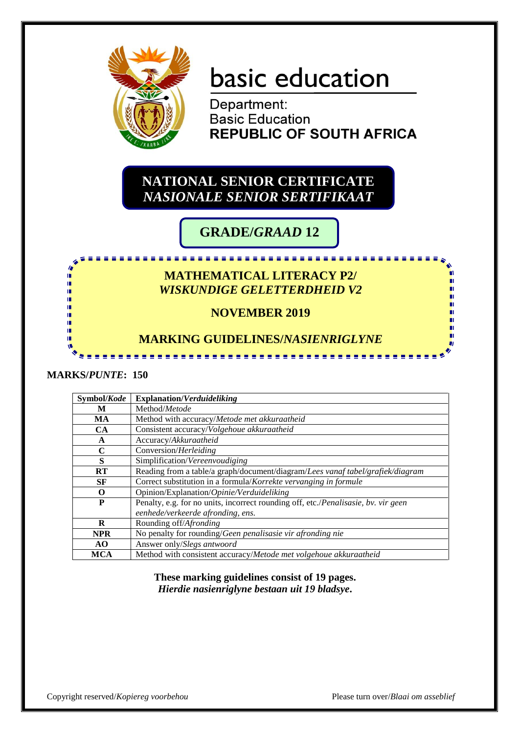

# basic education

Department: **Basic Education REPUBLIC OF SOUTH AFRICA** 

## **NATIONAL SENIOR CERTIFICATE** *NASIONALE SENIOR SERTIFIKAAT*

# **GRADE/***GRAAD* **12**

## **MATHEMATICAL LITERACY P2/** *WISKUNDIGE GELETTERDHEID V2*

<u>. . . . . . . . . . . . .</u>

## **NOVEMBER 2019**

### **MARKING GUIDELINES/***NASIENRIGLYNE*

#### **MARKS/***PUNTE***: 150**

m m m m m

| Symbol/Kode | <b>Explanation/Verduideliking</b>                                                  |
|-------------|------------------------------------------------------------------------------------|
| M           | Method/Metode                                                                      |
| MA          | Method with accuracy/Metode met akkuraatheid                                       |
| <b>CA</b>   | Consistent accuracy/Volgehoue akkuraatheid                                         |
| A           | Accuracy/Akkuraatheid                                                              |
| C           | Conversion/Herleiding                                                              |
| S           | Simplification/Vereenvoudiging                                                     |
| RT          | Reading from a table/a graph/document/diagram/Lees vanaf tabel/grafiek/diagram     |
| SF          | Correct substitution in a formula/Korrekte vervanging in formule                   |
| O           | Opinion/Explanation/Opinie/Verduideliking                                          |
| P           | Penalty, e.g. for no units, incorrect rounding off, etc./Penalisasie, bv. vir geen |
|             | eenhede/verkeerde afronding, ens.                                                  |
| $\bf{R}$    | Rounding off/Afronding                                                             |
| <b>NPR</b>  | No penalty for rounding/Geen penalisasie vir afronding nie                         |
| AO.         | Answer only/Slegs antwoord                                                         |
| MCA         | Method with consistent accuracy/Metode met volgehoue akkuraatheid                  |

**These marking guidelines consist of 19 pages.** *Hierdie nasienriglyne bestaan uit 19 bladsye***.**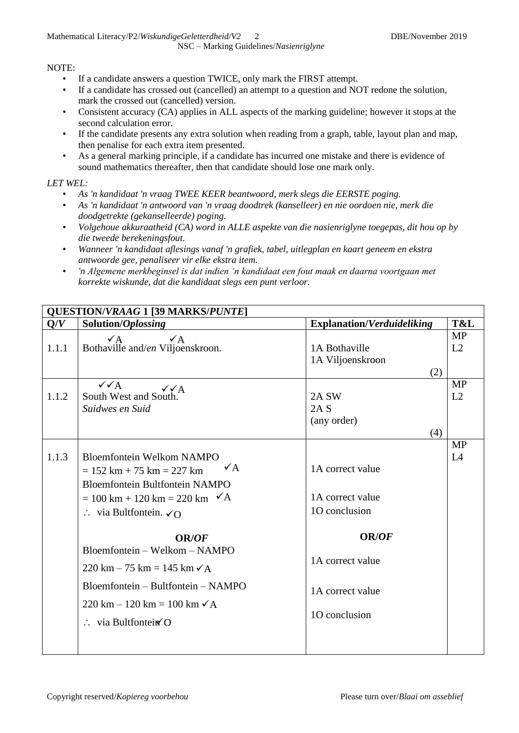#### NOTE:

- If a candidate answers a question TWICE, only mark the FIRST attempt.
- If a candidate has crossed out (cancelled) an attempt to a question and NOT redone the solution, mark the crossed out (cancelled) version.
- Consistent accuracy (CA) applies in ALL aspects of the marking guideline; however it stops at the second calculation error.
- If the candidate presents any extra solution when reading from a graph, table, layout plan and map, then penalise for each extra item presented.
- As a general marking principle, if a candidate has incurred one mistake and there is evidence of sound mathematics thereafter, then that candidate should lose one mark only.

#### *LET WEL:*

- *As 'n kandidaat 'n vraag TWEE KEER beantwoord, merk slegs die EERSTE poging.*
- *As 'n kandidaat 'n antwoord van 'n vraag doodtrek (kanselleer) en nie oordoen nie, merk die doodgetrekte (gekanselleerde) poging.*
- *Volgehoue akkuraatheid (CA) word in ALLE aspekte van die nasienriglyne toegepas, dit hou op by die tweede berekeningsfout.*
- *Wanneer 'n kandidaat aflesings vanaf 'n grafiek, tabel, uitlegplan en kaart geneem en ekstra antwoorde gee, penaliseer vir elke ekstra item.*
- *'n Algemene merkbeginsel is dat indien 'n kandidaat een fout maak en daarna voortgaan met korrekte wiskunde, dat die kandidaat slegs een punt verloor.*

|       | <b>QUESTION/VRAAG 1 [39 MARKS/PUNTE]</b>                                                                                                                                                                                                                                                                                                                                                                                                                                             |                                                                                                                                |                 |
|-------|--------------------------------------------------------------------------------------------------------------------------------------------------------------------------------------------------------------------------------------------------------------------------------------------------------------------------------------------------------------------------------------------------------------------------------------------------------------------------------------|--------------------------------------------------------------------------------------------------------------------------------|-----------------|
| Q/V   | Solution/Oplossing                                                                                                                                                                                                                                                                                                                                                                                                                                                                   | <b>Explanation/Verduideliking</b>                                                                                              | T&L             |
| 1.1.1 | $\sqrt{A}$<br>$\sqrt{A}$<br>Bothaville and/en Viljoenskroon.                                                                                                                                                                                                                                                                                                                                                                                                                         | 1A Bothaville<br>1A Viljoenskroon<br>(2)                                                                                       | <b>MP</b><br>L2 |
| 1.1.2 | $\sqrt{\sqrt{A}}$<br>$\checkmark\checkmark$ A<br>South West and South.<br>Suidwes en Suid                                                                                                                                                                                                                                                                                                                                                                                            | 2A SW<br>2A S<br>(any order)<br>(4)                                                                                            | <b>MP</b><br>L2 |
| 1.1.3 | <b>Bloemfontein Welkom NAMPO</b><br>$\sqrt{A}$<br>$= 152 \text{ km} + 75 \text{ km} = 227 \text{ km}$<br><b>Bloemfontein Bultfontein NAMPO</b><br>$= 100 \text{ km} + 120 \text{ km} = 220 \text{ km}$ $\checkmark$ A<br>$\therefore$ via Bultfontein. $\checkmark$ O<br><b>OR/OF</b><br>Bloemfontein - Welkom - NAMPO<br>220 km − 75 km = 145 km $\checkmark$ A<br>Bloemfontein – Bultfontein – NAMPO<br>220 km − 120 km = 100 km $\checkmark$ A<br>$\therefore$ via Bultfontein (O | 1A correct value<br>1A correct value<br>10 conclusion<br><b>OR/OF</b><br>1A correct value<br>1A correct value<br>10 conclusion | <b>MP</b><br>L4 |
|       |                                                                                                                                                                                                                                                                                                                                                                                                                                                                                      |                                                                                                                                |                 |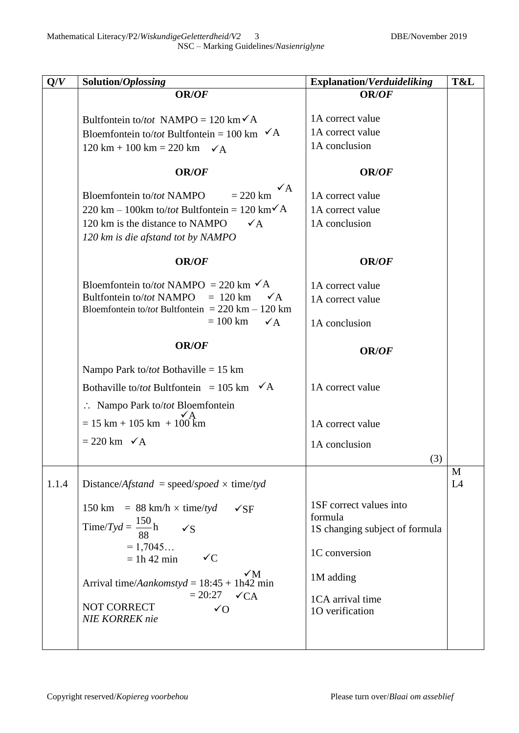| Q/V   | Solution/Oplossing                                                                                                                                                                                                                                                    | <b>Explanation/Verduideliking</b>                                                                  | T&L |
|-------|-----------------------------------------------------------------------------------------------------------------------------------------------------------------------------------------------------------------------------------------------------------------------|----------------------------------------------------------------------------------------------------|-----|
|       | OR/OF                                                                                                                                                                                                                                                                 | OR/OF                                                                                              |     |
|       | Bultfontein to/tot NAMPO = 120 km $\checkmark$ A<br>Bloemfontein to/tot Bultfontein = 100 km $\checkmark$ A<br>$120 \text{ km} + 100 \text{ km} = 220 \text{ km}$ $\checkmark$ A                                                                                      | 1A correct value<br>1A correct value<br>1A conclusion                                              |     |
|       | <b>OR/OF</b>                                                                                                                                                                                                                                                          | <b>OR/OF</b>                                                                                       |     |
|       | $\checkmark$ A<br>Bloemfontein to/tot NAMPO<br>$= 220$ km<br>220 km – 100km to/tot Bultfontein = 120 km $\sqrt{A}$<br>120 km is the distance to NAMPO<br>$\checkmark$ A<br>120 km is die afstand tot by NAMPO                                                         | 1A correct value<br>1A correct value<br>1A conclusion                                              |     |
|       | <b>OR/OF</b>                                                                                                                                                                                                                                                          | <b>OR/OF</b>                                                                                       |     |
|       | Bloemfontein to/tot NAMPO = 220 km $\checkmark$ A<br>Bultfontein to/tot NAMPO<br>$= 120 \text{ km}$<br>$\checkmark$ A<br>Bloemfontein to/tot Bultfontein = 220 km - 120 km<br>$= 100$ km<br>$\sqrt{A}$                                                                | 1A correct value<br>1A correct value<br>1A conclusion                                              |     |
|       | <b>OR/OF</b>                                                                                                                                                                                                                                                          | <b>OR/OF</b>                                                                                       |     |
|       | Nampo Park to/ <i>tot</i> Bothaville = 15 km                                                                                                                                                                                                                          |                                                                                                    |     |
|       | Bothaville to/tot Bultfontein = 105 km $\checkmark$ A                                                                                                                                                                                                                 | 1A correct value                                                                                   |     |
|       | $\therefore$ Nampo Park to/tot Bloemfontein                                                                                                                                                                                                                           |                                                                                                    |     |
|       | $= 15 \text{ km} + 105 \text{ km} + 100 \text{ km}$                                                                                                                                                                                                                   | 1A correct value                                                                                   |     |
|       | $= 220$ km $\checkmark$ A                                                                                                                                                                                                                                             | 1A conclusion<br>(3)                                                                               |     |
|       |                                                                                                                                                                                                                                                                       |                                                                                                    | M   |
| 1.1.4 | Distance/Afstand = speed/spoed $\times$ time/tyd                                                                                                                                                                                                                      |                                                                                                    | L4  |
|       | 150 km = $88 \text{ km/h} \times \text{time/tyd}$<br>$\sqrt{\rm SF}$<br>Time/Tyd = $\frac{150}{20}$ h<br>$\checkmark$<br>$= 1,7045$<br>$\sqrt{C}$<br>$= 1h 42$ min<br>$\sqrt{M}$<br>Arrival time/ <i>Aankomstyd</i> = $18:45 + 1h42$ min<br>$= 20:27$ $\checkmark$ CA | 1SF correct values into<br>formula<br>1S changing subject of formula<br>1C conversion<br>1M adding |     |
|       | NOT CORRECT<br>$\sqrt{O}$<br>NIE KORREK nie                                                                                                                                                                                                                           | 1CA arrival time<br>10 verification                                                                |     |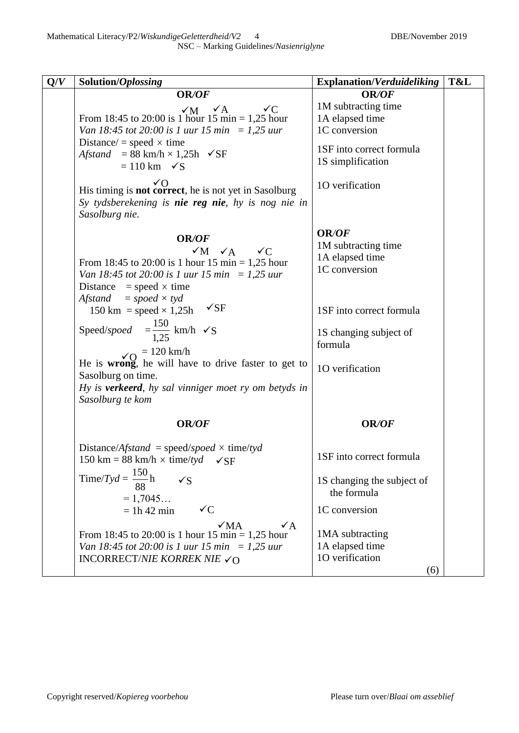| Q/V<br>Solution/Oplossing                                                                              | <b>Explanation/Verduideliking</b>             | T&L |
|--------------------------------------------------------------------------------------------------------|-----------------------------------------------|-----|
| OR/OF                                                                                                  | <b>OR/OF</b>                                  |     |
| $\sqrt{M}$ $\sqrt{A}$<br>$\sqrt{C}$                                                                    | 1M subtracting time                           |     |
| From 18:45 to 20:00 is 1 hour 15 min = 1,25 hour                                                       | 1A elapsed time                               |     |
| Van 18:45 tot 20:00 is 1 uur 15 min = 1,25 uur                                                         | 1C conversion                                 |     |
| Distance/ = speed $\times$ time                                                                        |                                               |     |
| Afstand = 88 km/h $\times$ 1,25h $\checkmark$ SF                                                       | 1SF into correct formula<br>1S simplification |     |
| $= 110 \text{ km}$ $\checkmark$ S                                                                      |                                               |     |
| √Ο<br>His timing is not correct, he is not yet in Sasolburg                                            | 10 verification                               |     |
| Sy tydsberekening is nie reg nie, hy is nog nie in<br>Sasolburg nie.                                   |                                               |     |
|                                                                                                        | <b>OR/OF</b>                                  |     |
| OR/OF                                                                                                  | 1M subtracting time                           |     |
| $\sqrt{M}$ $\sqrt{A}$ $\sqrt{C}$                                                                       | 1A elapsed time                               |     |
| From 18:45 to 20:00 is 1 hour 15 min = 1,25 hour                                                       | 1C conversion                                 |     |
| Van 18:45 tot 20:00 is 1 uur 15 min = 1,25 uur<br>Distance = speed $\times$ time                       |                                               |     |
| Afstand<br>$= speed \times tyd$                                                                        |                                               |     |
| $\sqrt{\text{SF}}$<br>150 km = speed $\times$ 1,25h                                                    | 1SF into correct formula                      |     |
| Speed/spoed $=\frac{150}{1,25}$ km/h $\checkmark$ S                                                    | 1S changing subject of<br>formula             |     |
| $\sqrt{O}$ = 120 km/h                                                                                  |                                               |     |
| He is wrong, he will have to drive faster to get to                                                    | 10 verification                               |     |
| Sasolburg on time.                                                                                     |                                               |     |
| Hy is <b>verkeerd</b> , hy sal vinniger moet ry om betyds in<br>Sasolburg te kom                       |                                               |     |
| OR/OF                                                                                                  | OR/OF                                         |     |
|                                                                                                        |                                               |     |
| Distance/Afstand = speed/spoed $\times$ time/tyd<br>150 km = 88 km/h $\times$ time/tyd $\checkmark$ SF | 1SF into correct formula                      |     |
| Time/Tyd = $\frac{150}{20}$ h<br>$\sqrt{S}$                                                            | 1S changing the subject of<br>the formula     |     |
| $= 1,7045$                                                                                             |                                               |     |
| $\checkmark C$<br>$= 1h 42$ min                                                                        | 1C conversion                                 |     |
| $\sqrt{MA}$<br>$\sqrt{A}$                                                                              |                                               |     |
| From 18:45 to 20:00 is 1 hour 15 min = 1,25 hour                                                       | 1MA subtracting                               |     |
| Van 18:45 tot 20:00 is 1 uur 15 min = 1,25 uur                                                         | 1A elapsed time<br>10 verification            |     |
| INCORRECT/NIE KORREK NIE $\checkmark$ O                                                                | (6)                                           |     |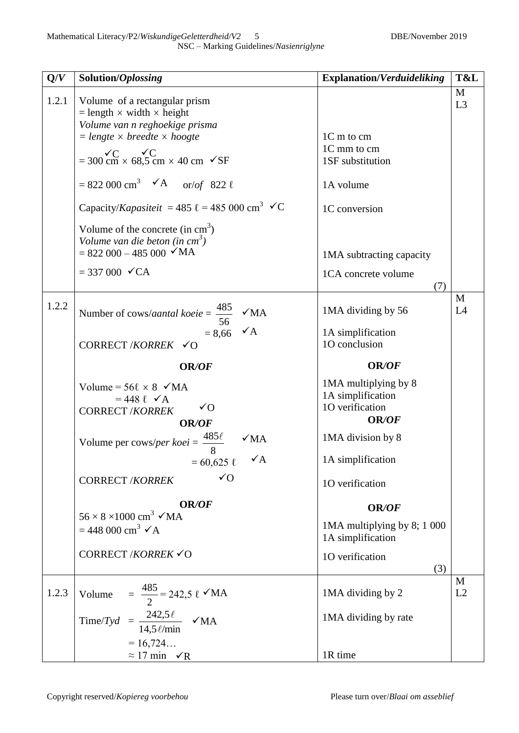| Q/V   | Solution/Oplossing                                                                                                   | <b>Explanation/Verduideliking</b>                                     | T&L                 |
|-------|----------------------------------------------------------------------------------------------------------------------|-----------------------------------------------------------------------|---------------------|
| 1.2.1 | Volume of a rectangular prism<br>$=$ length $\times$ width $\times$ height                                           |                                                                       | M<br>L <sub>3</sub> |
|       | Volume van n reghoekige prisma<br>$=$ lengte $\times$ breedte $\times$ hoogte                                        | 1C m to cm                                                            |                     |
|       | $= 300 \text{ cm} \times 68,5 \text{ cm} \times 40 \text{ cm}$ $\checkmark$ SF                                       | 1C mm to cm<br>1SF substitution                                       |                     |
|       | = 822 000 cm <sup>3</sup> $\checkmark$ A or/of 822 $\ell$                                                            | 1A volume                                                             |                     |
|       | Capacity/Kapasiteit = 485 $\ell$ = 485 000 cm <sup>3</sup> $\checkmark$ C                                            | 1C conversion                                                         |                     |
|       | Volume of the concrete (in $cm3$ )<br>Volume van die beton (in $cm3$ )<br>$= 822\,000 - 485\,000$ $\checkmark$ MA    | 1MA subtracting capacity                                              |                     |
|       | $= 337000$ $\checkmark$ CA                                                                                           | 1CA concrete volume<br>(7)                                            |                     |
| 1.2.2 | Number of cows/aantal koeie = $\frac{485}{56}$<br>$\sqrt{MA}$                                                        | 1MA dividing by 56                                                    | M<br>L4             |
|       | $\sqrt{A}$<br>$= 8,66$<br>CORRECT /KORREK $\checkmark$ O                                                             | 1A simplification<br>10 conclusion                                    |                     |
|       | OR/OF                                                                                                                | OR/OF                                                                 |                     |
|       | Volume = $56\ell \times 8$ $\checkmark$ MA<br>$= 448 \ell \sqrt{A}$<br>$\sqrt{O}$<br><b>CORRECT /KORREK</b><br>OR/OF | 1MA multiplying by 8<br>1A simplification<br>10 verification<br>OR/OF |                     |
|       | Volume per cows/per koei = $\frac{485\ell}{c}$<br>$\sqrt{MA}$                                                        | 1MA division by 8                                                     |                     |
|       | $\checkmark$ A<br>$= 60,625 \; \ell$                                                                                 | 1A simplification                                                     |                     |
|       | $\sqrt{O}$<br><b>CORRECT /KORREK</b>                                                                                 | 10 verification                                                       |                     |
|       | OR/OF                                                                                                                | OR/OF                                                                 |                     |
|       | $56 \times 8 \times 1000$ cm <sup>3</sup> $\checkmark$ MA<br>$= 448000 \text{ cm}^3 \checkmark \text{A}$             | 1MA multiplying by 8; 1 000<br>1A simplification                      |                     |
|       | CORRECT / KORREK √O                                                                                                  | 1O verification<br>(3)                                                |                     |
| 1.2.3 | = $\frac{485}{2}$ = 242,5 $\ell \checkmark{}$ MA<br>Volume                                                           | 1MA dividing by 2                                                     | M<br>L2             |
|       | Time/Tyd = $\frac{242,5 \ell}{14,5 \ell \text{/min}}$ $\checkmark$ MA                                                | 1MA dividing by rate                                                  |                     |
|       | $= 16,724$<br>$\approx 17$ min $\sqrt{R}$                                                                            | 1R time                                                               |                     |
|       |                                                                                                                      |                                                                       |                     |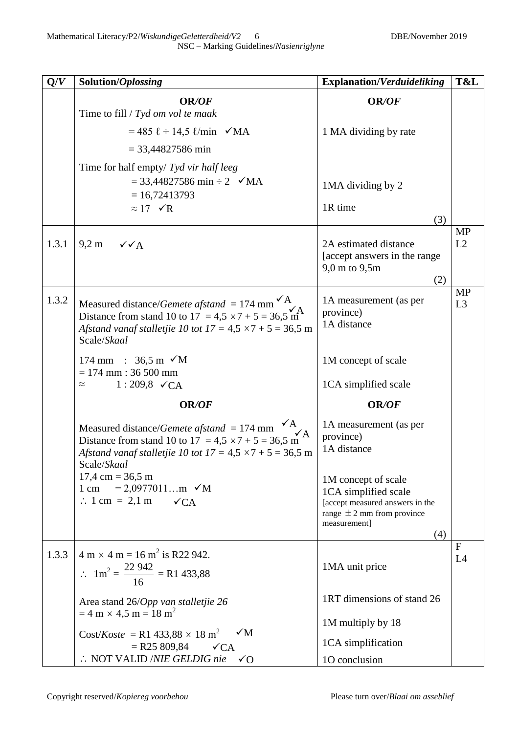| Solution/Oplossing                                                                                                                                                                                                                              | <b>Explanation/Verduideliking</b>                                                                                                                          | T&L                                                                                            |
|-------------------------------------------------------------------------------------------------------------------------------------------------------------------------------------------------------------------------------------------------|------------------------------------------------------------------------------------------------------------------------------------------------------------|------------------------------------------------------------------------------------------------|
| <b>OR/OF</b><br>Time to fill $/$ Tyd om vol te maak                                                                                                                                                                                             | <b>OR/OF</b>                                                                                                                                               |                                                                                                |
| $= 485 \; \ell \div 14.5 \; \ell/min \; \sqrt{MA}$                                                                                                                                                                                              | 1 MA dividing by rate                                                                                                                                      |                                                                                                |
| $= 33,44827586 \text{ min}$                                                                                                                                                                                                                     |                                                                                                                                                            |                                                                                                |
| Time for half empty/ $Tyd$ vir half leeg<br>$= 33,44827586 \text{ min} \div 2 \quad \checkmark \text{MA}$<br>$= 16,72413793$<br>$\approx 17 \sqrt{R}$                                                                                           | 1MA dividing by 2<br>1R time<br>(3)                                                                                                                        |                                                                                                |
| $9,2 \text{ m}$<br>$\checkmark$ $\checkmark$ $\land$ $\land$                                                                                                                                                                                    | 2A estimated distance<br>[accept answers in the range]<br>9,0 m to 9,5m<br>(2)                                                                             | <b>MP</b><br>L2                                                                                |
| Measured distance/ <i>Gemete afstand</i> = 174 mm $\overbrace{A}^{\overbrace{A}}$<br>Distance from stand 10 to 17 = 4,5 $\times$ 7 + 5 = 36,5 m <sup>2</sup><br>Afstand vanaf stalletjie 10 tot $17 = 4.5 \times 7 + 5 = 36.5$ m<br>Scale/Skaal | 1A measurement (as per<br>province)<br>1A distance                                                                                                         | MP<br>L <sub>3</sub>                                                                           |
| 174 mm : 36,5 m $\checkmark$ M<br>$= 174$ mm : 36 500 mm                                                                                                                                                                                        | 1M concept of scale                                                                                                                                        |                                                                                                |
|                                                                                                                                                                                                                                                 |                                                                                                                                                            |                                                                                                |
|                                                                                                                                                                                                                                                 |                                                                                                                                                            |                                                                                                |
| $\mathsf{v}_A$<br>Measured distance/ <i>Gemete afstand</i> = 174 mm $\overbrace{\phantom{1}}^{4}$<br>Distance from stand 10 to 17 = 4,5 × 7 + 5 = 36,5 m<br>Afstand vanaf stalletjie 10 tot $17 = 4.5 \times 7 + 5 = 36.5$ m                    | province)<br>1A distance                                                                                                                                   |                                                                                                |
| $17,4 \text{ cm} = 36,5 \text{ m}$<br>1 cm = 2,0977011m $\sqrt{M}$<br>$\therefore$ 1 cm = 2,1 m<br>$\checkmark$ CA                                                                                                                              | 1M concept of scale<br>1CA simplified scale<br>[accept measured answers in the<br>range $\pm$ 2 mm from province<br>measurement]<br>(4)                    |                                                                                                |
| $4 m \times 4 m = 16 m^2$ is R22 942.<br>$\therefore$ 1m <sup>2</sup> = $\frac{22\,942}{16}$ = R1 433,88                                                                                                                                        | 1MA unit price                                                                                                                                             | $\mathbf{F}$<br>L4                                                                             |
| Area stand 26/Opp van stalletjie 26                                                                                                                                                                                                             | 1RT dimensions of stand 26                                                                                                                                 |                                                                                                |
| $Cost/Koste = R1\,433,88 \times 18 \text{ m}^2$<br>$\sqrt{M}$                                                                                                                                                                                   | 1M multiply by 18                                                                                                                                          |                                                                                                |
| $\therefore$ NOT VALID /NIE GELDIG nie $\checkmark$ O                                                                                                                                                                                           |                                                                                                                                                            |                                                                                                |
|                                                                                                                                                                                                                                                 | $1:209,8 \checkmark$ CA<br>$\approx$<br>OR/OF<br>Scale/Skaal<br>$= 4 \text{ m} \times 4.5 \text{ m} = 18 \text{ m}^2$<br>$=$ R25 809,84<br>$\checkmark$ CA | 1CA simplified scale<br>OR/OF<br>1A measurement (as per<br>1CA simplification<br>10 conclusion |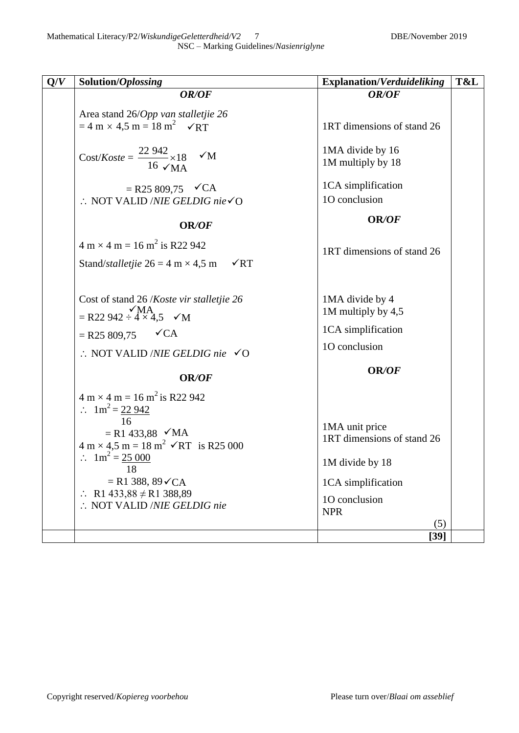| Solution/Oplossing                                                                                                                                                                                                                                                                    | <b>Explanation/Verduideliking</b>                                                                                           | T&L    |
|---------------------------------------------------------------------------------------------------------------------------------------------------------------------------------------------------------------------------------------------------------------------------------------|-----------------------------------------------------------------------------------------------------------------------------|--------|
| OR/OF                                                                                                                                                                                                                                                                                 | OR/OF                                                                                                                       |        |
| Area stand 26/Opp van stalletjie 26<br>$= 4 \text{ m} \times 4.5 \text{ m} = 18 \text{ m}^2$ $\checkmark$ RT                                                                                                                                                                          | 1RT dimensions of stand 26                                                                                                  |        |
| $\text{Cost}/\text{Kost} = \frac{22\,942}{10.000} \times 18$<br>$\sqrt{M}$<br>16 $\sqrt{MA}$                                                                                                                                                                                          | 1MA divide by 16<br>1M multiply by 18                                                                                       |        |
| $=$ R25 809,75 $\checkmark$ CA<br>$\therefore$ NOT VALID /NIE GELDIG nie $\checkmark$ O                                                                                                                                                                                               | 1CA simplification<br>10 conclusion                                                                                         |        |
| OR/OF                                                                                                                                                                                                                                                                                 | OR/OF                                                                                                                       |        |
| $4 m \times 4 m = 16 m^2$ is R22 942<br>Stand/ <i>stalletjie</i> $26 = 4 \text{ m} \times 4.5 \text{ m}$<br>$\sqrt{RT}$                                                                                                                                                               | 1RT dimensions of stand 26                                                                                                  |        |
| Cost of stand 26 /Koste vir stalletjie 26<br>$\simeq$ R22 942 $\div$ 4 $\times$ 4,5 $\simeq$ M                                                                                                                                                                                        | 1MA divide by 4<br>1M multiply by 4,5                                                                                       |        |
| $\sqrt{CA}$                                                                                                                                                                                                                                                                           | 1CA simplification                                                                                                          |        |
| $\therefore$ NOT VALID /NIE GELDIG nie $\checkmark$ O                                                                                                                                                                                                                                 | 10 conclusion                                                                                                               |        |
| OR/OF                                                                                                                                                                                                                                                                                 | OR/OF                                                                                                                       |        |
| $\therefore \quad 1 \text{m}^2 = 22.942$<br>16<br>$= R1 433,88$ $\checkmark$ MA<br>$4 \text{ m} \times 4.5 \text{ m} = 18 \text{ m}^2 \checkmark$ RT is R25 000<br>$1m^2 = 25000$<br>18<br>$= R1 388, 89 \checkmark CA$<br>R1 433,88 $\neq$ R1 388,89<br>:. NOT VALID /NIE GELDIG nie | 1MA unit price<br>1RT dimensions of stand 26<br>1M divide by 18<br>1CA simplification<br>10 conclusion<br><b>NPR</b><br>(5) |        |
|                                                                                                                                                                                                                                                                                       | $=$ R25 809,75<br>$4 m \times 4 m = 16 m^2$ is R22 942                                                                      | $[39]$ |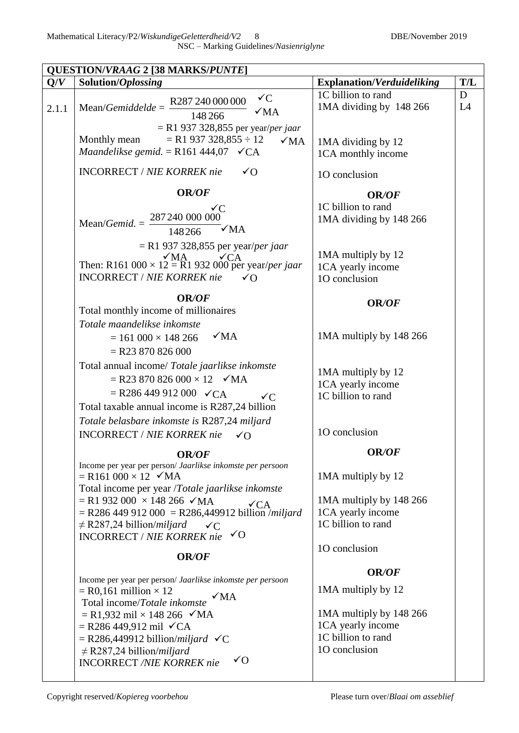|       | <b>QUESTION/VRAAG 2 [38 MARKS/PUNTE]</b>                                                                                                                                                                                                                                                                                                                                                                                |                                                                                                                           |         |
|-------|-------------------------------------------------------------------------------------------------------------------------------------------------------------------------------------------------------------------------------------------------------------------------------------------------------------------------------------------------------------------------------------------------------------------------|---------------------------------------------------------------------------------------------------------------------------|---------|
| Q/V   | Solution/Oplossing                                                                                                                                                                                                                                                                                                                                                                                                      | <b>Explanation/Verduideliking</b>                                                                                         | T/L     |
| 2.1.1 | $\checkmark C$<br>R287 240 000 000<br>$Mean/Gemiddelde =$<br>$\sqrt{MA}$<br>148 266                                                                                                                                                                                                                                                                                                                                     | 1C billion to rand<br>1MA dividing by 148 266                                                                             | D<br>L4 |
|       | $=$ R1 937 328,855 per year/per jaar<br>$=$ R1 937 328,855 $\div$ 12<br>Monthly mean<br>$\sqrt{MA}$<br>Maandelikse gemid. = R161 444,07 $\checkmark$ CA                                                                                                                                                                                                                                                                 | 1MA dividing by 12<br>1CA monthly income                                                                                  |         |
|       | <b>INCORRECT / NIE KORREK nie</b><br>$\sqrt{O}$                                                                                                                                                                                                                                                                                                                                                                         | 10 conclusion                                                                                                             |         |
|       | <b>OR/OF</b>                                                                                                                                                                                                                                                                                                                                                                                                            | <b>OR/OF</b>                                                                                                              |         |
|       | ✓C<br>287 240 000 000<br>Mean/ <i>Gemid.</i> = $\frac{2}{3}$<br>$\sqrt{MA}$<br>148266                                                                                                                                                                                                                                                                                                                                   | 1C billion to rand<br>1MA dividing by 148 266                                                                             |         |
|       | $=$ R1 937 328,855 per year/ <i>per jaar</i><br>Then: R161 000 $\times$ 12 = R1 932 000 per year/ <i>per jaar</i><br><b>INCORRECT / NIE KORREK nie</b><br>$\sqrt{O}$                                                                                                                                                                                                                                                    | 1MA multiply by 12<br>1CA yearly income<br>10 conclusion                                                                  |         |
|       | <b>OR/OF</b><br>Total monthly income of millionaires                                                                                                                                                                                                                                                                                                                                                                    | <b>OR/OF</b>                                                                                                              |         |
|       | Totale maandelikse inkomste<br>$\sqrt{MA}$<br>$= 161\,000 \times 148\,266$<br>$=$ R23 870 826 000                                                                                                                                                                                                                                                                                                                       | 1MA multiply by 148 266                                                                                                   |         |
|       | Total annual income/ Totale jaarlikse inkomste<br>$=$ R23 870 826 000 $\times$ 12 $\checkmark$ MA<br>$=$ R286 449 912 000 $\sqrt{CA}$<br>$\sqrt{C}$<br>Total taxable annual income is R287,24 billion<br>Totale belasbare inkomste is R287,24 miljard                                                                                                                                                                   | 1MA multiply by 12<br>1CA yearly income<br>1C billion to rand                                                             |         |
|       | <b>INCORRECT / NIE KORREK nie</b><br>$\sqrt{O}$                                                                                                                                                                                                                                                                                                                                                                         | 10 conclusion                                                                                                             |         |
|       | <b>OR/OF</b><br>Income per year per person/ Jaarlikse inkomste per persoon<br>$=$ R161 000 $\times$ 12 $\checkmark$ MA<br>Total income per year /Totale jaarlikse inkomste<br>$=$ R1 932 000 $\times$ 148 266 $\checkmark$ MA<br>$\sqrt{CA}$<br>$=$ R286 449 912 000 = R286,449912 billion <i>[miljard</i> ]<br>$\neq$ R287,24 billion/ <i>miljard</i><br>$\sqrt{C}$<br>$\sqrt{O}$<br><b>INCORRECT / NIE KORREK nie</b> | OR/OF<br>1MA multiply by 12<br>1MA multiply by 148 266<br>1CA yearly income<br>1C billion to rand<br>10 conclusion        |         |
|       | OR/OF                                                                                                                                                                                                                                                                                                                                                                                                                   |                                                                                                                           |         |
|       | Income per year per person/ Jaarlikse inkomste per persoon<br>$=$ R0,161 million $\times$ 12<br>$\sqrt{MA}$<br>Total income/Totale inkomste<br>$=$ R1,932 mil $\times$ 148 266 $\checkmark$ MA<br>$=$ R286 449,912 mil $\checkmark$ CA<br>$=$ R286,449912 billion/ <i>miljard</i> $\checkmark C$<br>$\neq$ R287,24 billion/ <i>miljard</i>                                                                              | <b>OR/OF</b><br>1MA multiply by 12<br>1MA multiply by 148 266<br>1CA yearly income<br>1C billion to rand<br>10 conclusion |         |
|       | $\sqrt{O}$<br><b>INCORRECT /NIE KORREK nie</b>                                                                                                                                                                                                                                                                                                                                                                          |                                                                                                                           |         |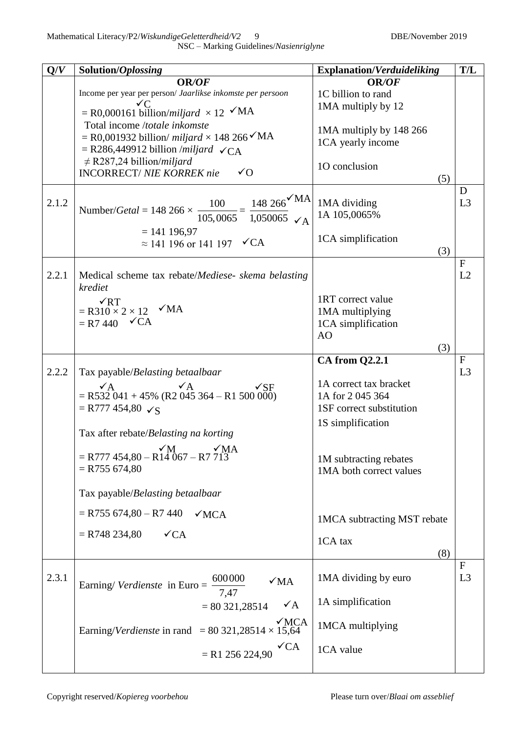NSC – Marking Guidelines/*Nasienriglyne*

| Q/V   | Solution/Oplossing                                                                                                         | <b>Explanation/Verduideliking</b> | T/L            |
|-------|----------------------------------------------------------------------------------------------------------------------------|-----------------------------------|----------------|
|       | <b>OR/OF</b>                                                                                                               | OR/OF                             |                |
|       | Income per year per person/ Jaarlikse inkomste per persoon                                                                 | 1C billion to rand                |                |
|       | ✓C                                                                                                                         | 1MA multiply by 12                |                |
|       | $=$ R0,000161 billion/miljard $\times$ 12 $\checkmark$ MA<br>Total income /totale inkomste                                 |                                   |                |
|       |                                                                                                                            | 1MA multiply by 148 266           |                |
|       | $=$ R0,001932 billion/ <i>miljard</i> $\times$ 148 266 $\checkmark$ MA<br>$=$ R286,449912 billion /miljard $\checkmark$ CA | 1CA yearly income                 |                |
|       | $\neq$ R287,24 billion/ <i>miljard</i>                                                                                     |                                   |                |
|       | $\sqrt{O}$<br><b>INCORRECT/ NIE KORREK nie</b>                                                                             | 10 conclusion                     |                |
|       |                                                                                                                            | (5)                               |                |
|       |                                                                                                                            |                                   | D              |
| 2.1.2 | $148~266$ MA                                                                                                               | 1MA dividing                      | L3             |
|       | Number/Getal = 148 266 $\times \frac{100}{105,0065} = \frac{148266}{1,050065}$ $\sqrt{A}$                                  | 1A 105,0065%                      |                |
|       | $= 141 196,97$                                                                                                             |                                   |                |
|       | $\approx$ 141 196 or 141 197 $\checkmark$ CA                                                                               | 1CA simplification                |                |
|       |                                                                                                                            | (3)                               |                |
|       |                                                                                                                            |                                   | $\mathbf F$    |
| 2.2.1 | Medical scheme tax rebate/Mediese- skema belasting                                                                         |                                   | L2             |
|       | krediet                                                                                                                    | 1RT correct value                 |                |
|       | $\sqrt{RT}$<br>$=$ R310 $\times$ 2 $\times$ 12 $\checkmark$ MA                                                             | 1MA multiplying                   |                |
|       | $=$ R7 440 $\checkmark$ CA                                                                                                 | 1CA simplification                |                |
|       |                                                                                                                            | AO                                |                |
|       |                                                                                                                            | (3)                               |                |
|       |                                                                                                                            | <b>CA from Q2.2.1</b>             | F              |
| 2.2.2 | Tax payable/Belasting betaalbaar                                                                                           |                                   | L <sub>3</sub> |
|       | $\sqrt{A}$<br>$\sqrt{A}$<br>$\sqrt{\text{SF}}$                                                                             | 1A correct tax bracket            |                |
|       | $=$ R532 041 + 45% (R2 045 364 – R1 500 000)                                                                               | 1A for 2 045 364                  |                |
|       | $=$ R777 454,80 $\checkmark$ S                                                                                             | 1SF correct substitution          |                |
|       |                                                                                                                            | 1S simplification                 |                |
|       | Tax after rebate/Belasting na korting                                                                                      |                                   |                |
|       | $\sqrt{\rm MA}$                                                                                                            |                                   |                |
|       | $\sqrt{M}$<br>= R777 454,80 – R14 067 – R7 713                                                                             | 1M subtracting rebates            |                |
|       | $=$ R755 674,80                                                                                                            | 1MA both correct values           |                |
|       |                                                                                                                            |                                   |                |
|       | Tax payable/Belasting betaalbaar                                                                                           |                                   |                |
|       | $=$ R755 674,80 – R7 440<br>$\sqrt{MCA}$                                                                                   |                                   |                |
|       |                                                                                                                            | 1MCA subtracting MST rebate       |                |
|       | $=$ R748 234,80<br>$\sqrt{CA}$                                                                                             | 1CA tax                           |                |
|       |                                                                                                                            | (8)                               |                |
|       |                                                                                                                            |                                   | $\mathbf F$    |
| 2.3.1 | 600000<br>$\sqrt{MA}$                                                                                                      | 1MA dividing by euro              | L3             |
|       | Earning/ <i>Verdienste</i> in Euro =<br>7,47                                                                               |                                   |                |
|       | $\checkmark$ A<br>$= 80321,28514$                                                                                          | 1A simplification                 |                |
|       |                                                                                                                            |                                   |                |
|       | $\sqrt{MCA}$<br>Earning/Verdienste in rand = $80\,321,28514 \times 15,64$                                                  | 1MCA multiplying                  |                |
|       |                                                                                                                            |                                   |                |
|       | $\sqrt{CA}$<br>$=$ R1 256 224,90                                                                                           | 1CA value                         |                |
|       |                                                                                                                            |                                   |                |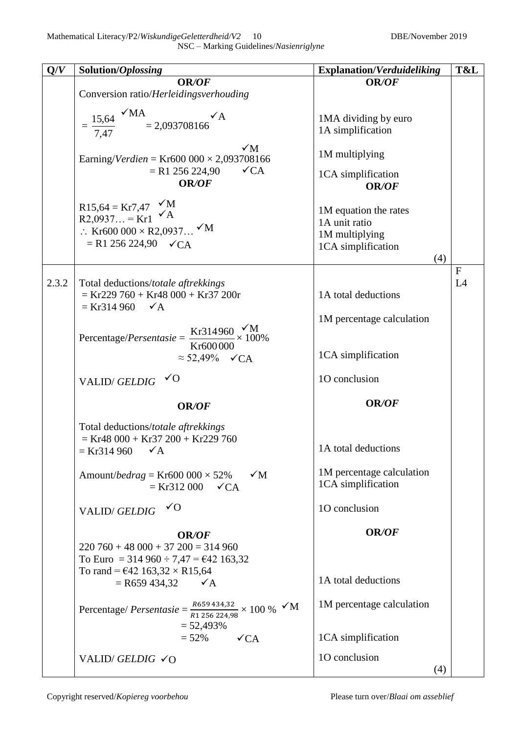NSC – Marking Guidelines/*Nasienriglyne*

| Q/V   | Solution/Oplossing                                                                              | <b>Explanation/Verduideliking</b>      | T&L          |
|-------|-------------------------------------------------------------------------------------------------|----------------------------------------|--------------|
|       | OR/OF                                                                                           | OR/OF                                  |              |
|       | Conversion ratio/ <i>Herleidingsverhouding</i>                                                  |                                        |              |
|       | $15.64$ $\times$ MA = 2,093708166<br>$\checkmark$ A                                             | 1MA dividing by euro                   |              |
|       | $=$ $\frac{1}{1}$                                                                               | 1A simplification                      |              |
|       |                                                                                                 |                                        |              |
|       | $\sqrt{M}$<br>Earning/Verdien = Kr600 000 $\times$ 2,093708166                                  | 1M multiplying                         |              |
|       | $\sqrt{CA}$<br>$=$ R1 256 224,90                                                                | 1CA simplification                     |              |
|       | OR/OF                                                                                           | OR/OF                                  |              |
|       | R15,64 = Kr7,47 $\checkmark$ M<br>R2,0937 = Kr1 $\checkmark$ A                                  |                                        |              |
|       |                                                                                                 | 1M equation the rates<br>1A unit ratio |              |
|       | ∴ Kr600 000 × R2,0937 $\checkmark$ M                                                            | 1M multiplying                         |              |
|       | $= R1 256 224,90 \quad \checkmark{CA}$                                                          | 1CA simplification                     |              |
|       |                                                                                                 | (4)                                    |              |
|       |                                                                                                 |                                        | $\mathbf{F}$ |
| 2.3.2 | Total deductions/totale aftrekkings                                                             |                                        | L4           |
|       | $=$ Kr229 760 + Kr48 000 + Kr37 200r                                                            | 1A total deductions                    |              |
|       | $=$ Kr314 960 $\checkmark$ A                                                                    |                                        |              |
|       |                                                                                                 | 1M percentage calculation              |              |
|       | Percentage/Persentasie = $\frac{\text{Kr314960}}{\text{Cr30000}} \times \frac{\text{M}}{100\%}$ |                                        |              |
|       | Kr600000                                                                                        |                                        |              |
|       | $\approx$ 52,49% $\checkmark$ CA                                                                | 1CA simplification                     |              |
|       |                                                                                                 |                                        |              |
|       | $\sqrt{0}$<br><b>VALID/GELDIG</b>                                                               | 10 conclusion                          |              |
|       | OR/OF                                                                                           | <b>OR/OF</b>                           |              |
|       | Total deductions/totale aftrekkings                                                             |                                        |              |
|       | $=$ Kr48 000 + Kr37 200 + Kr229 760                                                             |                                        |              |
|       | $=$ Kr314 960<br>$\checkmark$ A                                                                 | 1A total deductions                    |              |
|       |                                                                                                 |                                        |              |
|       | Amount/ <i>bedrag</i> = Kr600 000 $\times$ 52%<br>$\sqrt{M}$                                    | 1M percentage calculation              |              |
|       | $=$ Kr312 000 $\checkmark$ CA                                                                   | 1CA simplification                     |              |
|       | $\sqrt{0}$                                                                                      | 10 conclusion                          |              |
|       | <b>VALID/GELDIG</b>                                                                             |                                        |              |
|       | <b>OR/OF</b>                                                                                    | <b>OR/OF</b>                           |              |
|       | $220\,760 + 48\,000 + 37\,200 = 314\,960$                                                       |                                        |              |
|       | To Euro = 314 960 $\div$ 7,47 = $\text{\textsterling}42$ 163,32                                 |                                        |              |
|       | To rand = $\text{\textsterling}42\,163,32 \times \text{R}15,64$                                 |                                        |              |
|       | $=$ R659 434,32 $\checkmark$ A                                                                  | 1A total deductions                    |              |
|       |                                                                                                 |                                        |              |
|       | Percentage/ Persentasie = $\frac{R659434,32}{R1256224,98} \times 100\%$ $\checkmark$ M          | 1M percentage calculation              |              |
|       |                                                                                                 |                                        |              |
|       | $= 52,493\%$                                                                                    |                                        |              |
|       | $= 52\%$ $\checkmark$ CA                                                                        | 1CA simplification                     |              |
|       | VALID/GELDIG $\checkmark$ O                                                                     | 10 conclusion                          |              |
|       |                                                                                                 | (4)                                    |              |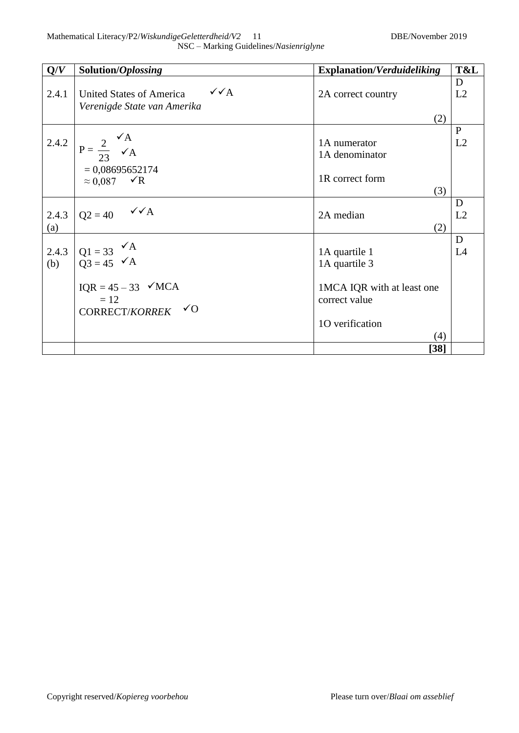| Q/V          | Solution/Oplossing                                                                                                                                | <b>Explanation/Verduideliking</b>                                                                | T&L                |
|--------------|---------------------------------------------------------------------------------------------------------------------------------------------------|--------------------------------------------------------------------------------------------------|--------------------|
| 2.4.1        | $\sqrt{\sqrt{A}}$<br>United States of America<br>Verenigde State van Amerika                                                                      | 2A correct country                                                                               | D<br>L2            |
|              | 2.4.2 $P = \frac{2}{23} \sqrt{A}$                                                                                                                 | (2)<br>1A numerator<br>1A denominator                                                            | $\mathbf{P}$<br>L2 |
|              | $= 0,08695652174$<br>$\approx 0.087$ $\checkmark$ R                                                                                               | 1R correct form<br>(3)                                                                           |                    |
| 2.4.3<br>(a) | $Q2 = 40$ $\checkmark$ A                                                                                                                          | 2A median<br>(2)                                                                                 | D<br>L2            |
| 2.4.3<br>(b) | $Q1 = 33 \n\begin{cases} \n\sqrt{A} \\ \nQ3 = 45 \n\end{cases}$<br>$IQR = 45 - 33 \quad \checkmark MCA$<br>$=12$<br>CORRECT/KORREK $\checkmark$ O | 1A quartile 1<br>1A quartile 3<br>1MCA IQR with at least one<br>correct value<br>10 verification | D<br>L4            |
|              |                                                                                                                                                   | (4)<br>$[38]$                                                                                    |                    |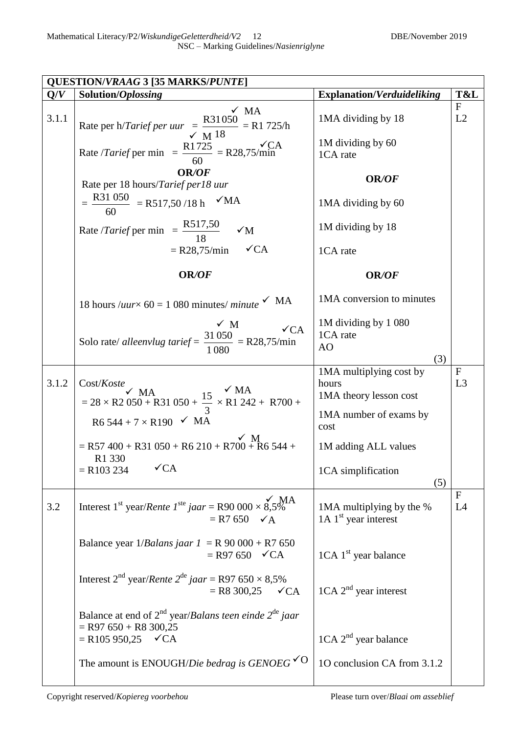|       | <b>QUESTION/VRAAG 3 [35 MARKS/PUNTE]</b>                                                                                                |                                                                |                                |
|-------|-----------------------------------------------------------------------------------------------------------------------------------------|----------------------------------------------------------------|--------------------------------|
| Q/V   | Solution/Oplossing                                                                                                                      | <b>Explanation/Verduideliking</b>                              | T&L                            |
| 3.1.1 | $\sqrt{MA}$<br>Rate per h/ <i>Tarief per uur</i> $\frac{R31050}{\sqrt{M}}$ = R1 725/h                                                   | 1MA dividing by 18                                             | $\mathbf F$<br>L2              |
|       | Rate / <i>Tarief</i> per min = $\frac{R1725}{60}$ = R28,75/min                                                                          | 1M dividing by 60<br>1CA rate                                  |                                |
|       | OR/OF<br>Rate per 18 hours/Tarief per18 uur                                                                                             | OR/OF                                                          |                                |
|       | $=$ $\frac{R31 050}{60}$ = R517,50/18 h $\checkmark$ MA                                                                                 | 1MA dividing by 60                                             |                                |
|       | Rate /Tarief per min = $\frac{R517,50}{18}$<br>$\sqrt{M}$                                                                               | 1M dividing by 18                                              |                                |
|       | $=$ R28,75/min $\checkmark$ CA                                                                                                          | 1CA rate                                                       |                                |
|       | OR/OF                                                                                                                                   | OR/OF                                                          |                                |
|       | 18 hours / <i>uur</i> × 60 = 1 080 minutes/ <i>minute</i> $\checkmark$ MA                                                               | 1MA conversion to minutes                                      |                                |
|       | $\times$ M<br>$\sqrt{CA}$<br>Solo rate/ alleenvlug tarief = $\frac{31\,050}{1\,080}$ = R28,75/min                                       | 1M dividing by 1 080<br>1CA rate<br>AO                         |                                |
|       |                                                                                                                                         | (3)                                                            |                                |
| 3.1.2 | Cost/Koste<br>= $28 \times R2\,050 + R31\,050 + \frac{15}{3} \times R1\,242 + R700 +$                                                   | 1MA multiplying cost by<br>hours<br>1MA theory lesson cost     | $\mathbf{F}$<br>L <sub>3</sub> |
|       | $R6544 + 7 \times R190$ $\checkmark$ MA                                                                                                 | 1MA number of exams by<br>cost                                 |                                |
|       | $=$ R57 400 + R31 050 + R6 210 + R700 + R6 544 +<br>R1 330                                                                              | 1M adding ALL values                                           |                                |
|       | $\sqrt{CA}$<br>$=$ R103 234                                                                                                             | 1CA simplification<br>(5)                                      |                                |
| 3.2   | $\sqrt{M}$<br>Interest 1 <sup>st</sup> year/ <i>Rente 1</i> <sup>ste</sup> jaar = R90 000 $\times$ 8,5%<br>$= R7650 \quad \checkmark$ A | 1MA multiplying by the %<br>$1A$ 1 <sup>st</sup> year interest | $\mathbf{F}$<br>L4             |
|       | Balance year $1/Balans$ <i>jaar</i> $1 = R$ 90 000 + R7 650<br>$=$ R97 650 $\checkmark$ CA                                              | $1CA$ 1 <sup>st</sup> year balance                             |                                |
|       | Interest $2nd$ year/ <i>Rente</i> $2de$ jaar = R97 650 × 8,5%<br>$=$ R8 300,25 $\checkmark$ CA                                          | $1CA$ $2nd$ year interest                                      |                                |
|       | Balance at end of $2^{nd}$ year/Balans teen einde $2^{de}$ jaar<br>$=$ R97 650 + R8 300,25<br>$=$ R105 950,25 $\checkmark$ CA           | $1CA$ $2nd$ year balance                                       |                                |
|       | The amount is ENOUGH/Die bedrag is GENOEG $\check{O}$                                                                                   | 10 conclusion CA from 3.1.2                                    |                                |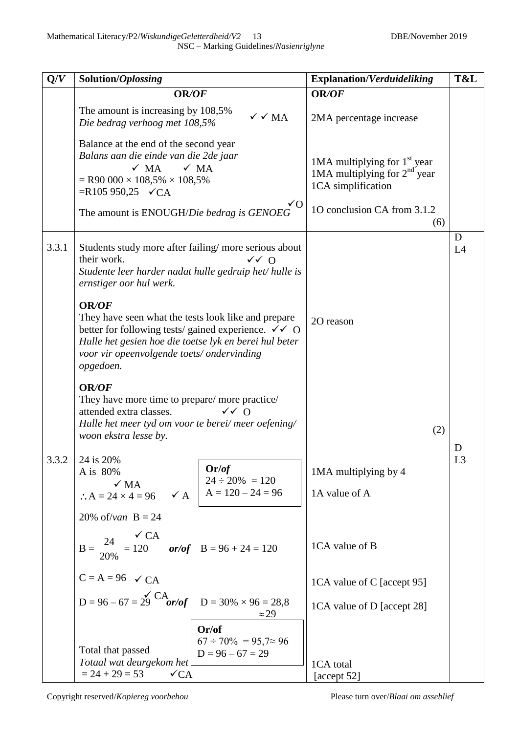| Q/V   | Solution/Oplossing                                                                                                                                                                                                                                                   | <b>Explanation/Verduideliking</b>                                                      | T&L                 |
|-------|----------------------------------------------------------------------------------------------------------------------------------------------------------------------------------------------------------------------------------------------------------------------|----------------------------------------------------------------------------------------|---------------------|
|       | OR/OF                                                                                                                                                                                                                                                                | OR/OF                                                                                  |                     |
|       | The amount is increasing by 108,5%<br>$\sqrt{\sqrt{M}}$<br>Die bedrag verhoog met 108,5%                                                                                                                                                                             | 2MA percentage increase                                                                |                     |
|       | Balance at the end of the second year<br>Balans aan die einde van die 2de jaar<br>$\times$ MA<br>$\times$ MA<br>$=$ R90 000 $\times$ 108,5% $\times$ 108,5%<br>$=R105 950,25 \quad C \subset A$<br>$\sqrt{O}$                                                        | 1MA multiplying for $1st$ year<br>1MA multiplying for $2nd$ year<br>1CA simplification |                     |
|       | The amount is ENOUGH/Die bedrag is GENOEG                                                                                                                                                                                                                            | 10 conclusion CA from 3.1.2<br>(6)                                                     |                     |
| 3.3.1 | Students study more after failing/more serious about<br>their work.<br>$\sqrt{2}$ 0<br>Studente leer harder nadat hulle gedruip het/ hulle is<br>ernstiger oor hul werk.                                                                                             |                                                                                        | D<br>L4             |
|       | <b>OR/OF</b><br>They have seen what the tests look like and prepare<br>better for following tests/ gained experience. $\checkmark \checkmark$ O<br>Hulle het gesien hoe die toetse lyk en berei hul beter<br>voor vir opeenvolgende toets/ ondervinding<br>opgedoen. | 2O reason                                                                              |                     |
|       | OR/OF<br>They have more time to prepare/ more practice/<br>attended extra classes.<br>$\sqrt{}$ 0<br>Hulle het meer tyd om voor te berei/ meer oefening/<br>woon ekstra lesse by.                                                                                    | (2)                                                                                    |                     |
| 3.3.2 | 24 is 20%<br>Or/of<br>A is 80%<br>$24 \div 20\% = 120$<br>A = 120 - 24 = 96<br>$\sqrt{MA}$<br>$\checkmark$ A<br>$\therefore A = 24 \times 4 = 96$                                                                                                                    | 1MA multiplying by 4<br>1A value of A                                                  | D<br>L <sub>3</sub> |
|       | 20% of/van $B = 24$<br>$\checkmark$ CA<br>$B = \frac{24}{20\%} = 120$ or/of $B = 96 + 24 = 120$                                                                                                                                                                      | 1CA value of B                                                                         |                     |
|       | $C = A = 96$ $\checkmark$ CA                                                                                                                                                                                                                                         | 1CA value of C [accept 95]                                                             |                     |
|       | $D = 96 - 67 = 29$ CA<br>or/of $D = 30\% \times 96 = 28.8$<br>$\approx$ 29                                                                                                                                                                                           | 1CA value of D [accept 28]                                                             |                     |
|       | Or/of<br>$67 \div 70\% = 95,7 \approx 96$<br>Total that passed<br>$D = 96 - 67 = 29$<br>Totaal wat deurgekom het<br>$= 24 + 29 = 53$<br>$\sqrt{CA}$                                                                                                                  | 1CA total<br>[accept 52]                                                               |                     |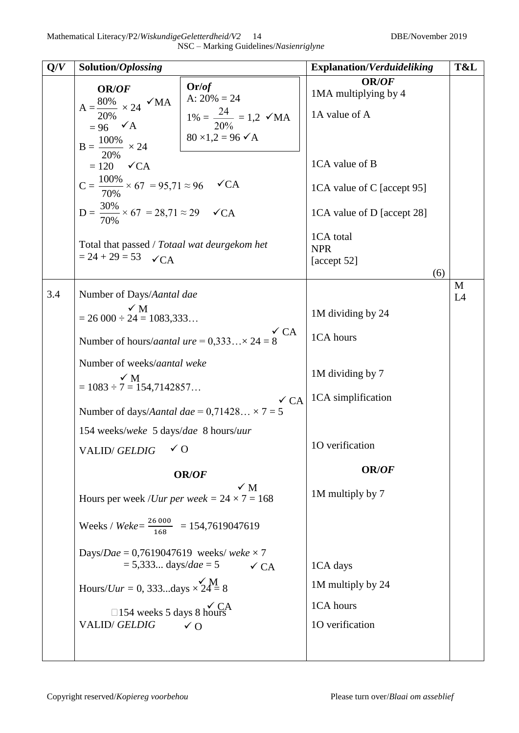| Q/V | Solution/Oplossing                                                                                                                                                                                                                                                                                                                                                                                        |                                                                                                               | <b>Explanation/Verduideliking</b>                                                                                                                                                    | T&L     |
|-----|-----------------------------------------------------------------------------------------------------------------------------------------------------------------------------------------------------------------------------------------------------------------------------------------------------------------------------------------------------------------------------------------------------------|---------------------------------------------------------------------------------------------------------------|--------------------------------------------------------------------------------------------------------------------------------------------------------------------------------------|---------|
|     | OR/OF<br>$A = \frac{80\%}{20\%} \times 24$ $\checkmark$ MA<br>$= 96 \quad \checkmark$ A<br>$B = \frac{100\%}{ } \times 24$<br>20%<br>$= 120 \quad \checkmark$ CA<br>$C = \frac{100\%}{200} \times 67 = 95,71 \approx 96$ $\checkmark$ CA<br>70%<br>$D = \frac{30\%}{200} \times 67 = 28,71 \approx 29$ $\checkmark$ CA<br>Total that passed / Totaal wat deurgekom het<br>$= 24 + 29 = 53$<br>$\sqrt{CA}$ | Or/of<br>A: $20\% = 24$<br>$1\% = \frac{24}{20\%} = 1.2$ $\checkmark$ MA<br>$80 \times 1,2 = 96 \checkmark$ A | <b>OR/OF</b><br>1MA multiplying by 4<br>1A value of A<br>1CA value of B<br>1CA value of C [accept 95]<br>1CA value of D [accept 28]<br>1CA total<br><b>NPR</b><br>[accept 52]<br>(6) |         |
| 3.4 | Number of Days/Aantal dae<br>$\times$ M<br>$= 26000 \div 24 = 1083333$<br>Number of hours/ <i>aantal ure</i> = $0,333 \times 24 = 8$<br>Number of weeks/aantal weke<br>$\checkmark$ M<br>$= 1083 \div 7 = 154,7142857$<br>Number of days/Aantal dae = $0,71428 \times 7 = 5$<br>154 weeks/weke 5 days/dae 8 hours/uur<br>VALID/GELDIG $\checkmark$ O                                                      | $\checkmark$ CA<br>$\checkmark$ CA                                                                            | 1M dividing by 24<br>1CA hours<br>1M dividing by 7<br>1CA simplification<br>10 verification                                                                                          | M<br>L4 |
|     | Hours per week / <i>Uur per week</i> = $24 \times 7 = 168$<br>Weeks / Weke= $\frac{26000}{168}$ = 154,7619047619<br>Days/Dae = 0,7619047619 weeks/weke $\times$ 7<br>$= 5,333$ days/dae = 5<br>Hours/ <i>Uur</i> = 0, 333days $\times 24 = 8$<br>$\Box$ 154 weeks 5 days 8 hours<br><b>VALID/GELDIG</b>                                                                                                   | <b>OR/OF</b><br>$\checkmark$ M<br>$\checkmark$ CA<br>$\sqrt{0}$                                               | OR/OF<br>1M multiply by 7<br>1CA days<br>1M multiply by 24<br>1CA hours<br>10 verification                                                                                           |         |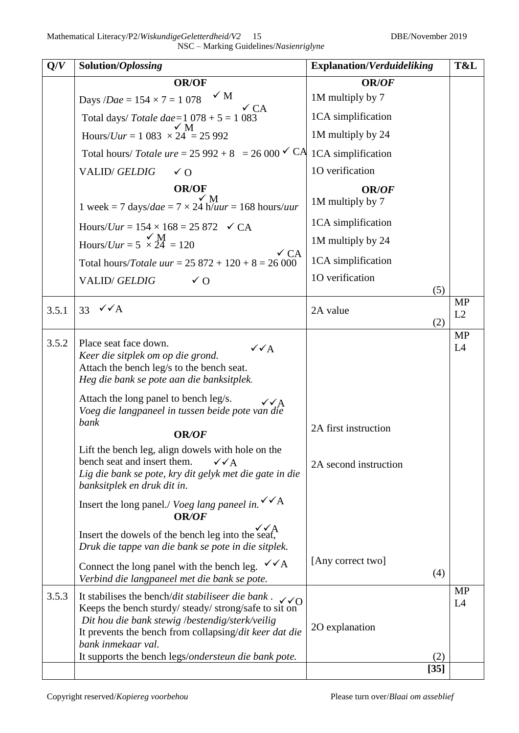| Q/V   | Solution/Oplossing                                                                                          | <b>Explanation/Verduideliking</b> | T&L             |
|-------|-------------------------------------------------------------------------------------------------------------|-----------------------------------|-----------------|
|       | <b>OR/OF</b>                                                                                                | OR/OF                             |                 |
|       | $\sqrt{M}$<br>Days / <i>Dae</i> = $154 \times 7 = 1078$                                                     | 1M multiply by 7                  |                 |
|       | $\checkmark$ CA<br>Total days/ Totale dae= $1078 + 5 = 1083$                                                | 1CA simplification                |                 |
|       | ✓ M<br>Hours/ <i>Uur</i> = 1 083 $\times$ 24 <sup><math>\degree</math></sup> = 25 992                       | 1M multiply by 24                 |                 |
|       | Total hours/ Totale ure = 25 992 + 8 = 26 000 $\checkmark$ CA                                               | 1CA simplification                |                 |
|       | <b>VALID/GELDIG</b><br>$\sqrt{0}$                                                                           | 10 verification                   |                 |
|       | <b>OR/OF</b>                                                                                                | <b>OR/OF</b>                      |                 |
|       | 1 week = 7 days/dae = $7 \times 24$ h/ $\hat{u}ur = 168$ hours/ <i>uur</i>                                  | 1M multiply by 7                  |                 |
|       | Hours/ <i>Uur</i> = $154 \times 168 = 25872$ $\checkmark$ CA                                                | 1CA simplification                |                 |
|       | Hours/Uur = $5 \times 24 = 120$                                                                             | 1M multiply by 24                 |                 |
|       | $\checkmark$ CA<br>Total hours/Totale uur = $25872 + 120 + 8 = 26000$                                       | 1CA simplification                |                 |
|       | <b>VALID/GELDIG</b><br>$\sqrt{0}$                                                                           | 10 verification                   |                 |
|       |                                                                                                             | (5)                               | <b>MP</b>       |
| 3.5.1 | 33 $\sqrt{\triangle}$                                                                                       | 2A value<br>(2)                   | L2              |
|       |                                                                                                             |                                   | MP              |
| 3.5.2 | Place seat face down.<br>$\sqrt{\sqrt{A}}$<br>Keer die sitplek om op die grond.                             |                                   | L4              |
|       | Attach the bench leg/s to the bench seat.                                                                   |                                   |                 |
|       | Heg die bank se pote aan die banksitplek.                                                                   |                                   |                 |
|       | Attach the long panel to bench leg/s.<br>$\checkmark$ A<br>Voeg die langpaneel in tussen beide pote van die |                                   |                 |
|       | bank<br><b>OR/OF</b>                                                                                        | 2A first instruction              |                 |
|       | Lift the bench leg, align dowels with hole on the                                                           |                                   |                 |
|       | bench seat and insert them.<br>$\checkmark$ $\checkmark$ A                                                  | 2A second instruction             |                 |
|       | Lig die bank se pote, kry dit gelyk met die gate in die<br>banksitplek en druk dit in.                      |                                   |                 |
|       | Insert the long panel./ Voeg lang paneel in. $\checkmark$ A<br><b>OR/OF</b>                                 |                                   |                 |
|       | Insert the dowels of the bench leg into the seat,<br>Druk die tappe van die bank se pote in die sitplek.    |                                   |                 |
|       | Connect the long panel with the bench leg. $\checkmark$ A<br>Verbind die langpaneel met die bank se pote.   | [Any correct two]<br>(4)          |                 |
| 3.5.3 | It stabilises the bench/dit stabiliseer die bank.<br>$\sqrt{0}$                                             |                                   | <b>MP</b><br>L4 |
|       | Keeps the bench sturdy/steady/strong/safe to sit on<br>Dit hou die bank stewig /bestendig/sterk/veilig      |                                   |                 |
|       | It prevents the bench from collapsing/dit keer dat die                                                      | 2O explanation                    |                 |
|       | bank inmekaar val.                                                                                          |                                   |                 |
|       | It supports the bench legs/ondersteun die bank pote.                                                        | (2)<br>$[35]$                     |                 |
|       |                                                                                                             |                                   |                 |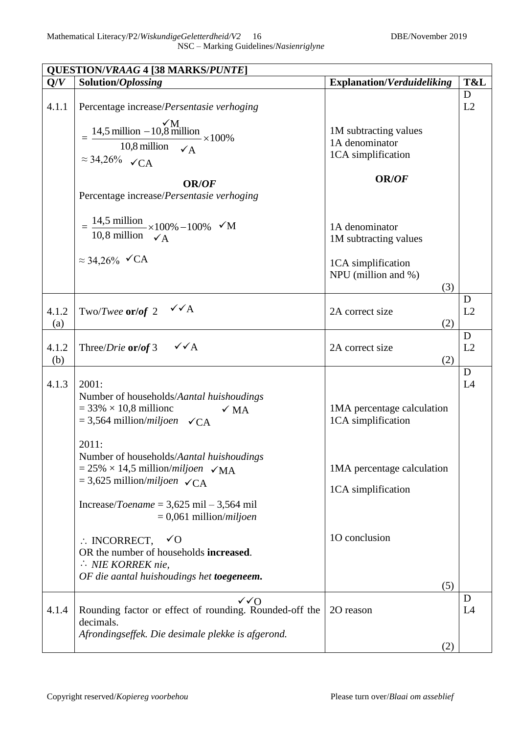|              | <b>QUESTION/VRAAG 4 [38 MARKS/PUNTE]</b>                                                                                                                                                                                                                                                                                                                                                                                                                                                                     |                                                                                                                       |         |
|--------------|--------------------------------------------------------------------------------------------------------------------------------------------------------------------------------------------------------------------------------------------------------------------------------------------------------------------------------------------------------------------------------------------------------------------------------------------------------------------------------------------------------------|-----------------------------------------------------------------------------------------------------------------------|---------|
| Q/V          | Solution/Oplossing                                                                                                                                                                                                                                                                                                                                                                                                                                                                                           | <b>Explanation/Verduideliking</b>                                                                                     | T&L     |
| 4.1.1        | Percentage increase/Persentasie verhoging<br>$\frac{14,5 \text{ million} - 10,8 \text{ million}}{10,8 \text{ million}} \times 100\%$<br>$\approx$ 34,26% $\checkmark$ CA                                                                                                                                                                                                                                                                                                                                     | 1M subtracting values<br>1A denominator<br>1CA simplification                                                         | D<br>L2 |
|              | <b>OR/OF</b><br>Percentage increase/Persentasie verhoging<br>= $\frac{14,5 \text{ million}}{10,8 \text{ million}} \times 100\% - 100\%$ $\checkmark$ M                                                                                                                                                                                                                                                                                                                                                       | OR/OF<br>1A denominator<br>1M subtracting values                                                                      |         |
|              | $\approx$ 34,26% $\checkmark$ CA                                                                                                                                                                                                                                                                                                                                                                                                                                                                             | 1CA simplification<br>NPU (million and %)<br>(3)                                                                      |         |
| 4.1.2<br>(a) | $\sqrt{\sqrt{A}}$<br>Two/Twee $\text{or}/\text{of} 2$                                                                                                                                                                                                                                                                                                                                                                                                                                                        | 2A correct size<br>(2)                                                                                                | D<br>L2 |
| 4.1.2<br>(b) | $\checkmark\checkmark$ A<br>Three/ <i>Drie</i> or/of 3                                                                                                                                                                                                                                                                                                                                                                                                                                                       | 2A correct size<br>(2)                                                                                                | D<br>L2 |
| 4.1.3        | 2001:<br>Number of households/Aantal huishoudings<br>$=$ 33% $\times$ 10,8 millionc<br>$\sqrt{MA}$<br>$=$ 3,564 million/ <i>miljoen</i> $\checkmark$ CA<br>2011:<br>Number of households/Aantal huishoudings<br>$= 25\% \times 14.5$ million/ <i>miljoen</i> $\sqrt{MA}$<br>$=$ 3,625 million/ <i>miljoen</i> $\checkmark$ CA<br>Increase/ <i>Toename</i> = $3,625$ mil $-3,564$ mil<br>$= 0,061$ million/ <i>miljoen</i><br>$\therefore$ INCORRECT,<br>$\sqrt{O}$<br>OR the number of households increased. | 1MA percentage calculation<br>1CA simplification<br>1MA percentage calculation<br>1CA simplification<br>10 conclusion | D<br>L4 |
|              | $\therefore$ NIE KORREK nie,<br>OF die aantal huishoudings het toegeneem.                                                                                                                                                                                                                                                                                                                                                                                                                                    | (5)                                                                                                                   |         |
| 4.1.4        | $\sqrt{Q}$<br>Rounding factor or effect of rounding. Rounded-off the<br>decimals.<br>Afrondingseffek. Die desimale plekke is afgerond.                                                                                                                                                                                                                                                                                                                                                                       | 20 reason<br>(2)                                                                                                      | D<br>L4 |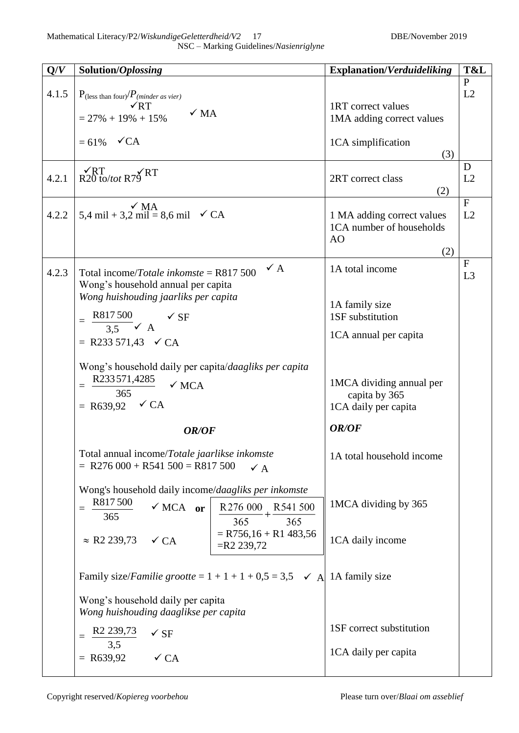| NSC - Marking Guidelines/Nasienriglyne |  |
|----------------------------------------|--|
|----------------------------------------|--|

| Q/V   | Solution/Oplossing                                                                                                                   |                                          | <b>Explanation/Verduideliking</b>                                               | T&L                  |
|-------|--------------------------------------------------------------------------------------------------------------------------------------|------------------------------------------|---------------------------------------------------------------------------------|----------------------|
| 4.1.5 | $P_{\text{(less than four)}}/P_{\text{(minder as vier)}}$<br>$\sqrt{RT}$<br>$\checkmark$ MA<br>$= 27\% + 19\% + 15\%$                |                                          | 1RT correct values<br>1MA adding correct values                                 | $\mathbf{P}$<br>L2   |
|       | $= 61\%$ $\checkmark$ CA                                                                                                             |                                          | 1CA simplification<br>(3)                                                       |                      |
| 4.2.1 | $\sqrt{RT}$<br>R20 to/tot R79 RT                                                                                                     |                                          | 2RT correct class<br>(2)                                                        | D<br>L2              |
| 4.2.2 | $\checkmark$ MA<br>5,4 mil + 3,2 mil = 8,6 mil $\checkmark$ CA                                                                       |                                          | 1 MA adding correct values<br>1CA number of households<br>A <sub>O</sub><br>(2) | $\overline{F}$<br>L2 |
| 4.2.3 | Total income/Totale inkomste = $R817500$<br>Wong's household annual per capita<br>Wong huishouding jaarliks per capita               | $\checkmark$ A                           | 1A total income                                                                 | $\mathbf F$<br>L3    |
|       | R817500<br>$\checkmark$ SF<br>$=$<br>$3.5$ $\times$ A                                                                                |                                          | 1A family size<br>1SF substitution                                              |                      |
|       | = R233 571,43 $\checkmark$ CA                                                                                                        |                                          | 1CA annual per capita                                                           |                      |
|       | Wong's household daily per capita/daagliks per capita<br>R233571,4285<br>$\checkmark$ MCA<br>$=$<br>365<br>= R639,92 $\checkmark$ CA |                                          | 1MCA dividing annual per<br>capita by 365<br>1CA daily per capita               |                      |
|       | OR/OF                                                                                                                                |                                          | OR/OF                                                                           |                      |
|       | Total annual income/Totale jaarlikse inkomste<br>$=$ R276 000 + R541 500 = R817 500                                                  | $\checkmark$ A                           | 1A total household income                                                       |                      |
|       | Wong's household daily income/daagliks per inkomste<br>R817500<br>$\checkmark$ MCA or<br>$=$<br>365                                  | R276 000 R541 500<br>365<br>365          | 1MCA dividing by 365                                                            |                      |
|       | $\approx$ R2 239,73<br>$\checkmark$ CA                                                                                               | $=$ R756,16 + R1 483,56<br>$=$ R2 239,72 | 1CA daily income                                                                |                      |
|       | Family size/ <i>Familie grootte</i> = $1 + 1 + 1 + 0.5 = 3.5$ $\checkmark$ A 1A family size                                          |                                          |                                                                                 |                      |
|       | Wong's household daily per capita<br>Wong huishouding daaglikse per capita                                                           |                                          |                                                                                 |                      |
|       | R <sub>2</sub> 239,73<br>$\checkmark$ SF<br>$=$<br>3,5                                                                               |                                          | 1SF correct substitution                                                        |                      |
|       | $= R639,92$<br>$\checkmark$ CA                                                                                                       |                                          | 1CA daily per capita                                                            |                      |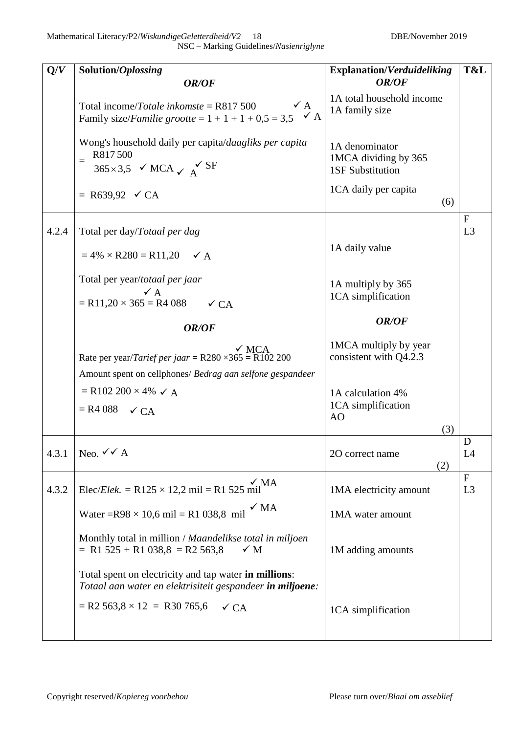| Q/V   | Solution/Oplossing                                                                                                                            | <b>Explanation/Verduideliking</b>                                 | T&L                            |
|-------|-----------------------------------------------------------------------------------------------------------------------------------------------|-------------------------------------------------------------------|--------------------------------|
|       | OR/OF                                                                                                                                         | OR/OF                                                             |                                |
|       | $\checkmark$ A<br>Total income/Totale inkomste = $R817500$<br>$\checkmark$ A<br>Family size/ <i>Familie grootte</i> = $1 + 1 + 1 + 0,5 = 3,5$ | 1A total household income<br>1A family size                       |                                |
|       | Wong's household daily per capita/daagliks per capita<br>R817500<br>$\frac{365\times3.5}{ }$ $\checkmark$ MCA $\checkmark$ A                  | 1A denominator<br>1MCA dividing by 365<br><b>1SF Substitution</b> |                                |
|       | = R639,92 $\checkmark$ CA                                                                                                                     | 1CA daily per capita<br>(6)                                       |                                |
| 4.2.4 | Total per day/Totaal per dag                                                                                                                  |                                                                   | $\mathbf{F}$<br>L3             |
|       | $= 4\% \times R280 = R11,20 \quad \checkmark$ A                                                                                               | 1A daily value                                                    |                                |
|       | Total per year/totaal per jaar<br>$\vee$ A<br>$=$ R11,20 $\times$ 365 $=$ R4 088<br>$\checkmark$ CA                                           | 1A multiply by 365<br>1CA simplification                          |                                |
|       | OR/OF                                                                                                                                         | OR/OF                                                             |                                |
|       | $\sqrt{MCA}$<br>Rate per year/ <i>Tarief per jaar</i> = R280 $\times$ 365 = R102 200                                                          | 1MCA multiply by year<br>consistent with Q4.2.3                   |                                |
|       | Amount spent on cellphones/ Bedrag aan selfone gespandeer                                                                                     |                                                                   |                                |
|       | $=$ R102 200 $\times$ 4% $\checkmark$ A                                                                                                       | 1A calculation 4%                                                 |                                |
|       | $=$ R4 088 $\checkmark$ CA                                                                                                                    | 1CA simplification<br>AO<br>(3)                                   |                                |
|       |                                                                                                                                               |                                                                   | D                              |
|       | 4.3.1 Neo. $\checkmark$ A                                                                                                                     | 2O correct name<br>(2)                                            | L4                             |
| 4.3.2 | $\sqrt{M}$ A<br>Elec/ <i>Elek.</i> = R125 $\times$ 12,2 mil = R1 525 mil <sup>-</sup>                                                         | 1MA electricity amount                                            | $\mathbf{F}$<br>L <sub>3</sub> |
|       | $\checkmark$ MA<br>Water = $R98 \times 10,6$ mil = R1 038,8 mil                                                                               | 1MA water amount                                                  |                                |
|       | Monthly total in million / Maandelikse total in miljoen<br>$= R1 525 + R1 038.8 = R2 563.8$<br>$\checkmark$ M                                 | 1M adding amounts                                                 |                                |
|       | Total spent on electricity and tap water in millions:<br>Totaal aan water en elektrisiteit gespandeer in miljoene:                            |                                                                   |                                |
|       | $=$ R2 563,8 $\times$ 12 = R30 765,6<br>$\checkmark$ CA                                                                                       | 1CA simplification                                                |                                |
|       |                                                                                                                                               |                                                                   |                                |